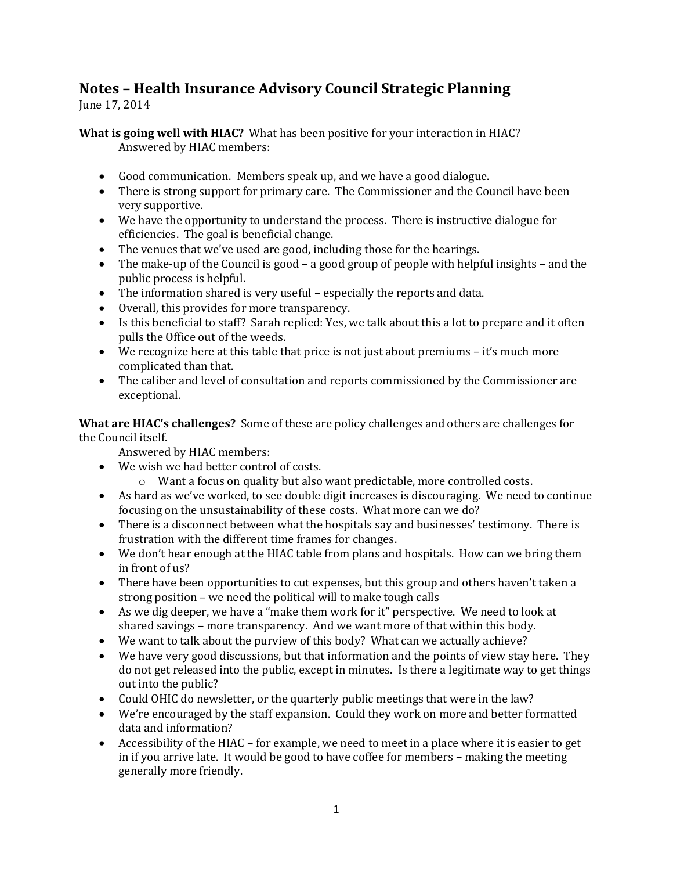## **Notes – Health Insurance Advisory Council Strategic Planning**  June 17, 2014

**What is going well with HIAC?** What has been positive for your interaction in HIAC? Answered by HIAC members:

- Good communication. Members speak up, and we have a good dialogue.
- There is strong support for primary care. The Commissioner and the Council have been very supportive.
- We have the opportunity to understand the process. There is instructive dialogue for efficiencies. The goal is beneficial change.
- The venues that we've used are good, including those for the hearings.
- The make-up of the Council is good a good group of people with helpful insights and the public process is helpful.
- The information shared is very useful especially the reports and data.
- Overall, this provides for more transparency.
- Is this beneficial to staff? Sarah replied: Yes, we talk about this a lot to prepare and it often pulls the Office out of the weeds.
- $\bullet$  We recognize here at this table that price is not just about premiums  $-$  it's much more complicated than that.
- The caliber and level of consultation and reports commissioned by the Commissioner are exceptional.

**What are HIAC's challenges?** Some of these are policy challenges and others are challenges for the Council itself.

Answered by HIAC members:

- We wish we had better control of costs.
	- o Want a focus on quality but also want predictable, more controlled costs.
- As hard as we've worked, to see double digit increases is discouraging. We need to continue focusing on the unsustainability of these costs. What more can we do?
- There is a disconnect between what the hospitals say and businesses' testimony. There is frustration with the different time frames for changes.
- We don't hear enough at the HIAC table from plans and hospitals. How can we bring them in front of us?
- There have been opportunities to cut expenses, but this group and others haven't taken a strong position – we need the political will to make tough calls
- As we dig deeper, we have a "make them work for it" perspective. We need to look at shared savings – more transparency. And we want more of that within this body.
- We want to talk about the purview of this body? What can we actually achieve?
- We have very good discussions, but that information and the points of view stay here. They do not get released into the public, except in minutes. Is there a legitimate way to get things out into the public?
- Could OHIC do newsletter, or the quarterly public meetings that were in the law?
- We're encouraged by the staff expansion. Could they work on more and better formatted data and information?
- Accessibility of the HIAC for example, we need to meet in a place where it is easier to get in if you arrive late. It would be good to have coffee for members – making the meeting generally more friendly.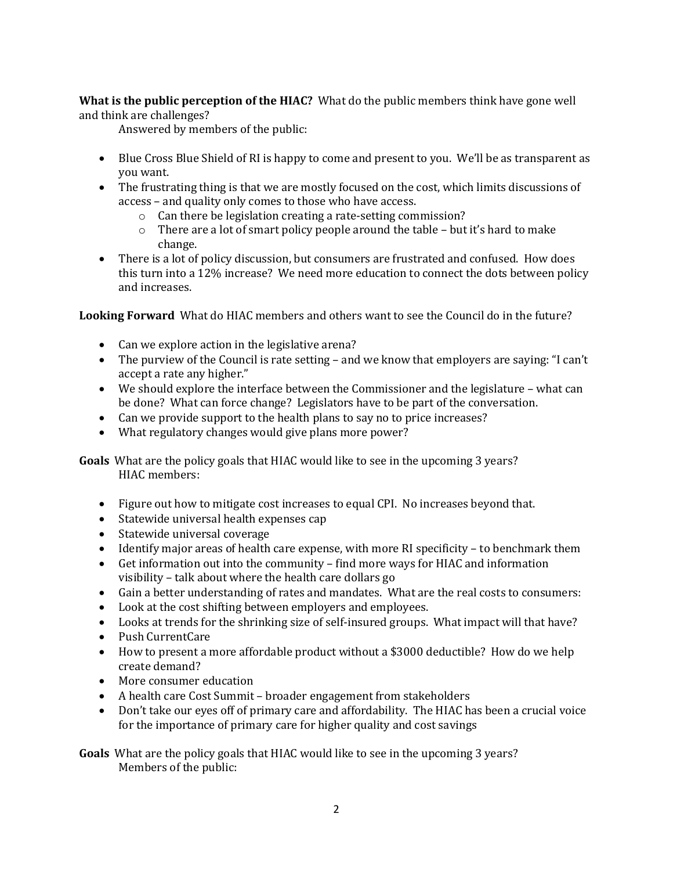**What is the public perception of the HIAC?** What do the public members think have gone well and think are challenges?

Answered by members of the public:

- Blue Cross Blue Shield of RI is happy to come and present to you. We'll be as transparent as you want.
- The frustrating thing is that we are mostly focused on the cost, which limits discussions of access – and quality only comes to those who have access.
	- o Can there be legislation creating a rate-setting commission?
	- o There are a lot of smart policy people around the table but it's hard to make change.
- There is a lot of policy discussion, but consumers are frustrated and confused. How does this turn into a 12% increase? We need more education to connect the dots between policy and increases.

**Looking Forward** What do HIAC members and others want to see the Council do in the future?

- Can we explore action in the legislative arena?
- The purview of the Council is rate setting and we know that employers are saying: "I can't accept a rate any higher."
- We should explore the interface between the Commissioner and the legislature what can be done? What can force change? Legislators have to be part of the conversation.
- Can we provide support to the health plans to say no to price increases?
- What regulatory changes would give plans more power?

**Goals** What are the policy goals that HIAC would like to see in the upcoming 3 years? HIAC members:

- Figure out how to mitigate cost increases to equal CPI. No increases beyond that.
- Statewide universal health expenses cap
- Statewide universal coverage
- Identify major areas of health care expense, with more RI specificity to benchmark them
- Get information out into the community find more ways for HIAC and information visibility – talk about where the health care dollars go
- Gain a better understanding of rates and mandates. What are the real costs to consumers:
- Look at the cost shifting between employers and employees.
- Looks at trends for the shrinking size of self-insured groups. What impact will that have?
- Push CurrentCare
- How to present a more affordable product without a \$3000 deductible? How do we help create demand?
- More consumer education
- A health care Cost Summit broader engagement from stakeholders
- Don't take our eyes off of primary care and affordability. The HIAC has been a crucial voice for the importance of primary care for higher quality and cost savings

**Goals** What are the policy goals that HIAC would like to see in the upcoming 3 years? Members of the public: